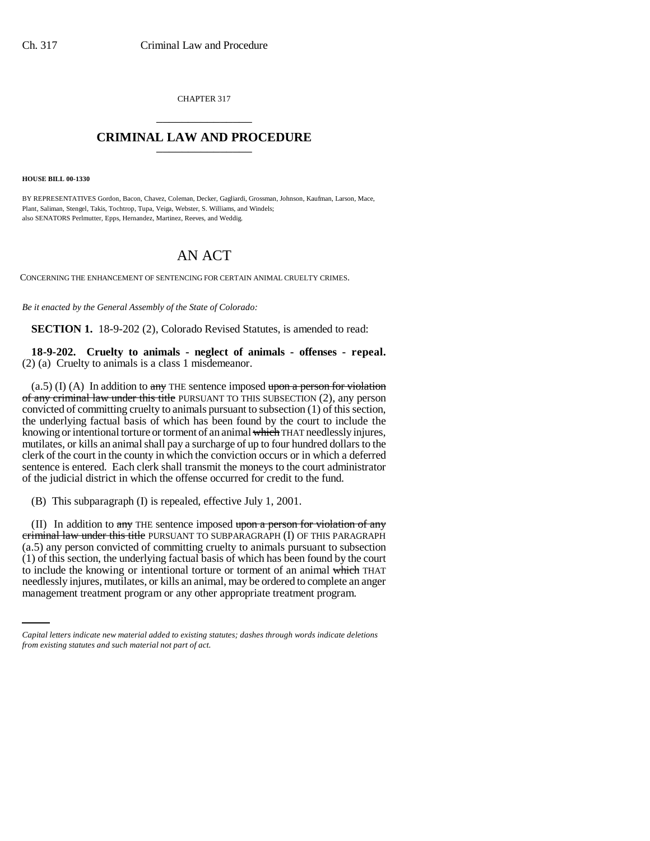CHAPTER 317 \_\_\_\_\_\_\_\_\_\_\_\_\_\_\_

## **CRIMINAL LAW AND PROCEDURE** \_\_\_\_\_\_\_\_\_\_\_\_\_\_\_

**HOUSE BILL 00-1330** 

BY REPRESENTATIVES Gordon, Bacon, Chavez, Coleman, Decker, Gagliardi, Grossman, Johnson, Kaufman, Larson, Mace, Plant, Saliman, Stengel, Takis, Tochtrop, Tupa, Veiga, Webster, S. Williams, and Windels; also SENATORS Perlmutter, Epps, Hernandez, Martinez, Reeves, and Weddig.

## AN ACT

CONCERNING THE ENHANCEMENT OF SENTENCING FOR CERTAIN ANIMAL CRUELTY CRIMES.

*Be it enacted by the General Assembly of the State of Colorado:*

**SECTION 1.** 18-9-202 (2), Colorado Revised Statutes, is amended to read:

**18-9-202. Cruelty to animals - neglect of animals - offenses - repeal.** (2) (a) Cruelty to animals is a class 1 misdemeanor.

 $(a.5)$  (I) (A) In addition to  $a$ ny THE sentence imposed upon a person for violation of any criminal law under this title PURSUANT TO THIS SUBSECTION (2), any person convicted of committing cruelty to animals pursuant to subsection (1) of this section, the underlying factual basis of which has been found by the court to include the knowing or intentional torture or torment of an animal which THAT needlessly injures, mutilates, or kills an animal shall pay a surcharge of up to four hundred dollars to the clerk of the court in the county in which the conviction occurs or in which a deferred sentence is entered. Each clerk shall transmit the moneys to the court administrator of the judicial district in which the offense occurred for credit to the fund.

(B) This subparagraph (I) is repealed, effective July 1, 2001.

to include the knowing or intentional torture or torment of an animal which THAT (II) In addition to  $a$ ny THE sentence imposed upon a person for violation of any criminal law under this title PURSUANT TO SUBPARAGRAPH (I) OF THIS PARAGRAPH (a.5) any person convicted of committing cruelty to animals pursuant to subsection (1) of this section, the underlying factual basis of which has been found by the court needlessly injures, mutilates, or kills an animal, may be ordered to complete an anger management treatment program or any other appropriate treatment program.

*Capital letters indicate new material added to existing statutes; dashes through words indicate deletions from existing statutes and such material not part of act.*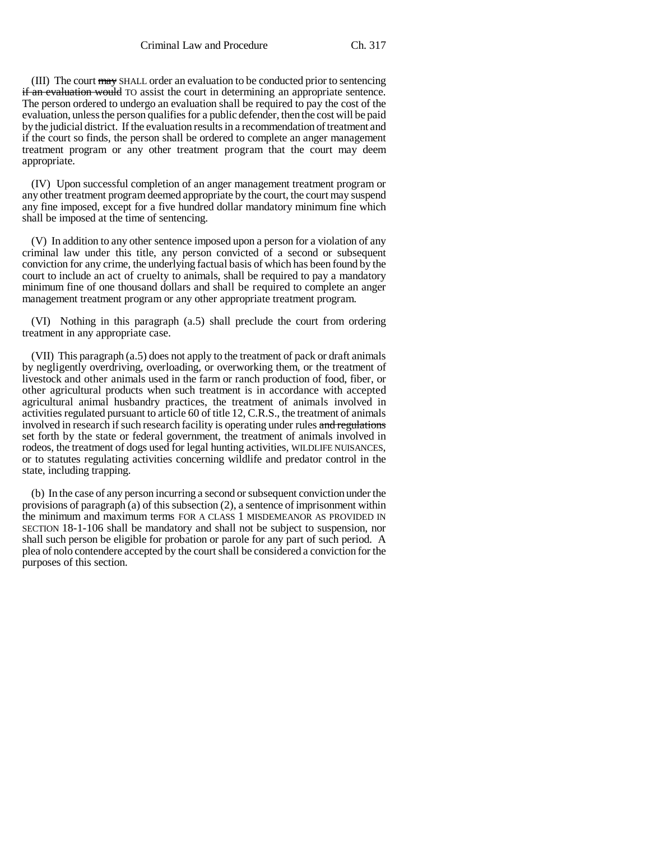(III) The court may SHALL order an evaluation to be conducted prior to sentencing if an evaluation would TO assist the court in determining an appropriate sentence. The person ordered to undergo an evaluation shall be required to pay the cost of the evaluation, unless the person qualifies for a public defender, then the cost will be paid by the judicial district. If the evaluation results in a recommendation of treatment and if the court so finds, the person shall be ordered to complete an anger management treatment program or any other treatment program that the court may deem appropriate.

(IV) Upon successful completion of an anger management treatment program or any other treatment program deemed appropriate by the court, the court may suspend any fine imposed, except for a five hundred dollar mandatory minimum fine which shall be imposed at the time of sentencing.

(V) In addition to any other sentence imposed upon a person for a violation of any criminal law under this title, any person convicted of a second or subsequent conviction for any crime, the underlying factual basis of which has been found by the court to include an act of cruelty to animals, shall be required to pay a mandatory minimum fine of one thousand dollars and shall be required to complete an anger management treatment program or any other appropriate treatment program.

(VI) Nothing in this paragraph (a.5) shall preclude the court from ordering treatment in any appropriate case.

(VII) This paragraph (a.5) does not apply to the treatment of pack or draft animals by negligently overdriving, overloading, or overworking them, or the treatment of livestock and other animals used in the farm or ranch production of food, fiber, or other agricultural products when such treatment is in accordance with accepted agricultural animal husbandry practices, the treatment of animals involved in activities regulated pursuant to article 60 of title 12, C.R.S., the treatment of animals involved in research if such research facility is operating under rules and regulations set forth by the state or federal government, the treatment of animals involved in rodeos, the treatment of dogs used for legal hunting activities, WILDLIFE NUISANCES, or to statutes regulating activities concerning wildlife and predator control in the state, including trapping.

(b) In the case of any person incurring a second or subsequent conviction under the provisions of paragraph (a) of this subsection (2), a sentence of imprisonment within the minimum and maximum terms FOR A CLASS 1 MISDEMEANOR AS PROVIDED IN SECTION 18-1-106 shall be mandatory and shall not be subject to suspension, nor shall such person be eligible for probation or parole for any part of such period. A plea of nolo contendere accepted by the court shall be considered a conviction for the purposes of this section.